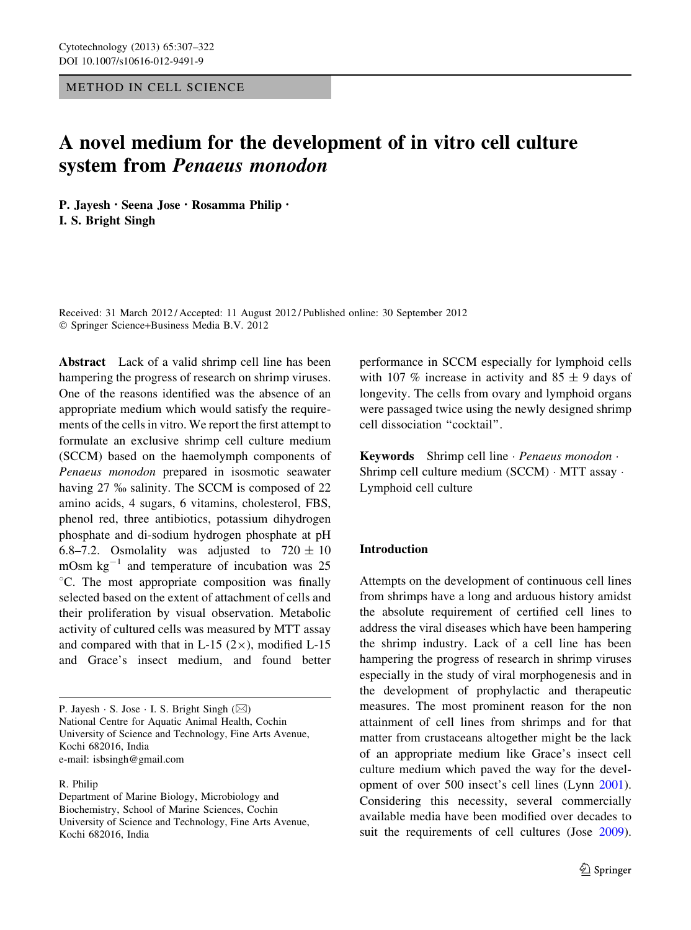METHOD IN CELL SCIENCE

# A novel medium for the development of in vitro cell culture system from Penaeus monodon

P. Jayesh • Seena Jose • Rosamma Philip • I. S. Bright Singh

Received: 31 March 2012 / Accepted: 11 August 2012 / Published online: 30 September 2012 © Springer Science+Business Media B.V. 2012

Abstract Lack of a valid shrimp cell line has been hampering the progress of research on shrimp viruses. One of the reasons identified was the absence of an appropriate medium which would satisfy the requirements of the cells in vitro. We report the first attempt to formulate an exclusive shrimp cell culture medium (SCCM) based on the haemolymph components of Penaeus monodon prepared in isosmotic seawater having 27 ‰ salinity. The SCCM is composed of 22 amino acids, 4 sugars, 6 vitamins, cholesterol, FBS, phenol red, three antibiotics, potassium dihydrogen phosphate and di-sodium hydrogen phosphate at pH 6.8–7.2. Osmolality was adjusted to  $720 \pm 10$ mOsm  $kg^{-1}$  and temperature of incubation was 25 <sup>o</sup>C. The most appropriate composition was finally selected based on the extent of attachment of cells and their proliferation by visual observation. Metabolic activity of cultured cells was measured by MTT assay and compared with that in L-15  $(2 \times)$ , modified L-15 and Grace's insect medium, and found better

P. Jayesh  $\cdot$  S. Jose  $\cdot$  I. S. Bright Singh ( $\boxtimes$ ) National Centre for Aquatic Animal Health, Cochin University of Science and Technology, Fine Arts Avenue, Kochi 682016, India e-mail: isbsingh@gmail.com

#### R. Philip

performance in SCCM especially for lymphoid cells with 107 % increase in activity and  $85 \pm 9$  days of longevity. The cells from ovary and lymphoid organs were passaged twice using the newly designed shrimp cell dissociation ''cocktail''.

**Keywords** Shrimp cell line  $\cdot$  *Penaeus monodon*  $\cdot$ Shrimp cell culture medium (SCCM) - MTT assay - Lymphoid cell culture

# Introduction

Attempts on the development of continuous cell lines from shrimps have a long and arduous history amidst the absolute requirement of certified cell lines to address the viral diseases which have been hampering the shrimp industry. Lack of a cell line has been hampering the progress of research in shrimp viruses especially in the study of viral morphogenesis and in the development of prophylactic and therapeutic measures. The most prominent reason for the non attainment of cell lines from shrimps and for that matter from crustaceans altogether might be the lack of an appropriate medium like Grace's insect cell culture medium which paved the way for the development of over 500 insect's cell lines (Lynn [2001](#page-14-0)). Considering this necessity, several commercially available media have been modified over decades to suit the requirements of cell cultures (Jose [2009](#page-14-0)).

Department of Marine Biology, Microbiology and Biochemistry, School of Marine Sciences, Cochin University of Science and Technology, Fine Arts Avenue, Kochi 682016, India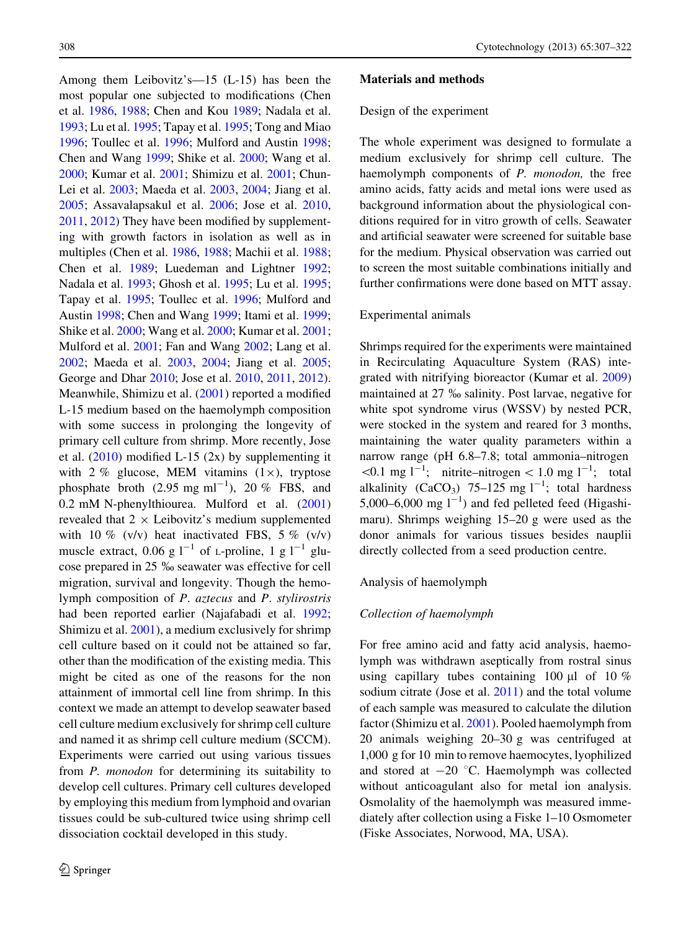Among them Leibovitz's—15 (L-15) has been the most popular one subjected to modifications (Chen et al. [1986](#page-14-0), [1988;](#page-14-0) Chen and Kou [1989](#page-13-0); Nadala et al. [1993;](#page-15-0) Lu et al. [1995](#page-14-0); Tapay et al. [1995](#page-15-0); Tong and Miao [1996;](#page-15-0) Toullec et al. [1996;](#page-15-0) Mulford and Austin [1998](#page-14-0); Chen and Wang [1999](#page-13-0); Shike et al. [2000;](#page-15-0) Wang et al. [2000;](#page-15-0) Kumar et al. [2001](#page-14-0); Shimizu et al. [2001](#page-15-0); Chun-Lei et al. [2003;](#page-14-0) Maeda et al. [2003](#page-14-0), [2004;](#page-14-0) Jiang et al. [2005;](#page-14-0) Assavalapsakul et al. [2006;](#page-13-0) Jose et al. [2010,](#page-14-0) [2011,](#page-14-0) [2012\)](#page-14-0) They have been modified by supplementing with growth factors in isolation as well as in multiples (Chen et al. [1986,](#page-14-0) [1988;](#page-14-0) Machii et al. [1988](#page-14-0); Chen et al. [1989](#page-14-0); Luedeman and Lightner [1992](#page-14-0); Nadala et al. [1993](#page-15-0); Ghosh et al. [1995](#page-14-0); Lu et al. [1995](#page-14-0); Tapay et al. [1995;](#page-15-0) Toullec et al. [1996](#page-15-0); Mulford and Austin [1998;](#page-14-0) Chen and Wang [1999](#page-13-0); Itami et al. [1999](#page-14-0); Shike et al. [2000](#page-15-0); Wang et al. [2000;](#page-15-0) Kumar et al. [2001](#page-14-0); Mulford et al. [2001;](#page-15-0) Fan and Wang [2002](#page-14-0); Lang et al. [2002;](#page-14-0) Maeda et al. [2003,](#page-14-0) [2004;](#page-14-0) Jiang et al. [2005](#page-14-0); George and Dhar [2010;](#page-14-0) Jose et al. [2010](#page-14-0), [2011](#page-14-0), [2012](#page-14-0)). Meanwhile, Shimizu et al. [\(2001](#page-15-0)) reported a modified L-15 medium based on the haemolymph composition with some success in prolonging the longevity of primary cell culture from shrimp. More recently, Jose et al.  $(2010)$  $(2010)$  $(2010)$  modified L-15  $(2x)$  by supplementing it with 2 % glucose, MEM vitamins  $(1\times)$ , tryptose phosphate broth  $(2.95 \text{ mg ml}^{-1})$ ,  $20 \%$  FBS, and 0.2 mM N-phenylthiourea. Mulford et al. ([2001\)](#page-15-0) revealed that  $2 \times$  Leibovitz's medium supplemented with 10 % (v/v) heat inactivated FBS, 5 % (v/v) muscle extract, 0.06 g  $l^{-1}$  of L-proline, 1 g  $l^{-1}$  glucose prepared in 25 ‰ seawater was effective for cell migration, survival and longevity. Though the hemolymph composition of P. aztecus and P. stylirostris had been reported earlier (Najafabadi et al. [1992](#page-15-0); Shimizu et al. [2001](#page-15-0)), a medium exclusively for shrimp cell culture based on it could not be attained so far, other than the modification of the existing media. This might be cited as one of the reasons for the non attainment of immortal cell line from shrimp. In this context we made an attempt to develop seawater based cell culture medium exclusively for shrimp cell culture and named it as shrimp cell culture medium (SCCM). Experiments were carried out using various tissues from P. monodon for determining its suitability to develop cell cultures. Primary cell cultures developed by employing this medium from lymphoid and ovarian tissues could be sub-cultured twice using shrimp cell dissociation cocktail developed in this study.

#### Materials and methods

#### Design of the experiment

The whole experiment was designed to formulate a medium exclusively for shrimp cell culture. The haemolymph components of P. monodon, the free amino acids, fatty acids and metal ions were used as background information about the physiological conditions required for in vitro growth of cells. Seawater and artificial seawater were screened for suitable base for the medium. Physical observation was carried out to screen the most suitable combinations initially and further confirmations were done based on MTT assay.

#### Experimental animals

Shrimps required for the experiments were maintained in Recirculating Aquaculture System (RAS) integrated with nitrifying bioreactor (Kumar et al. [2009\)](#page-14-0) maintained at 27 ‰ salinity. Post larvae, negative for white spot syndrome virus (WSSV) by nested PCR, were stocked in the system and reared for 3 months, maintaining the water quality parameters within a narrow range (pH 6.8–7.8; total ammonia–nitrogen  $\langle 0.1 \text{ mg } 1^{-1}$ ; nitrite–nitrogen  $\langle 1.0 \text{ mg } 1^{-1}$ ; total alkalinity (CaCO<sub>3</sub>) 75–125 mg l<sup>-1</sup>; total hardness 5,000–6,000 mg  $1^{-1}$ ) and fed pelleted feed (Higashimaru). Shrimps weighing 15–20 g were used as the donor animals for various tissues besides nauplii directly collected from a seed production centre.

#### Analysis of haemolymph

#### Collection of haemolymph

For free amino acid and fatty acid analysis, haemolymph was withdrawn aseptically from rostral sinus using capillary tubes containing 100  $\mu$ l of 10 % sodium citrate (Jose et al. [2011](#page-14-0)) and the total volume of each sample was measured to calculate the dilution factor (Shimizu et al. [2001](#page-15-0)). Pooled haemolymph from 20 animals weighing 20–30 g was centrifuged at 1,000 g for 10 min to remove haemocytes, lyophilized and stored at  $-20$  °C. Haemolymph was collected without anticoagulant also for metal ion analysis. Osmolality of the haemolymph was measured immediately after collection using a Fiske 1–10 Osmometer (Fiske Associates, Norwood, MA, USA).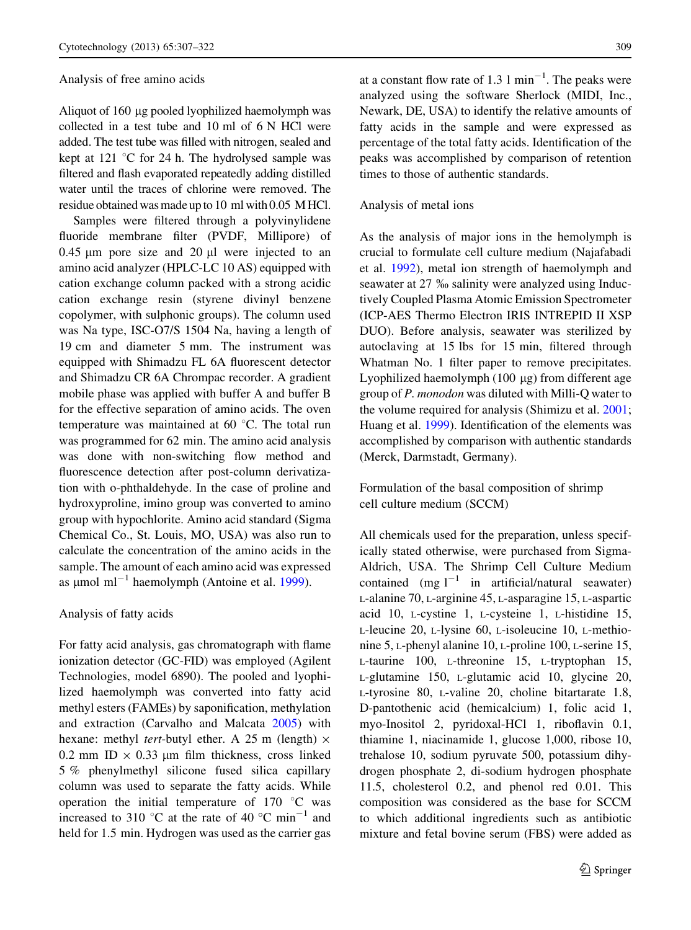#### Analysis of free amino acids

Aliquot of 160 µg pooled lyophilized haemolymph was collected in a test tube and 10 ml of 6 N HCl were added. The test tube was filled with nitrogen, sealed and kept at 121  $\degree$ C for 24 h. The hydrolysed sample was filtered and flash evaporated repeatedly adding distilled water until the traces of chlorine were removed. The residue obtained was madeup to 10 ml with 0.05 M HCl.

Samples were filtered through a polyvinylidene fluoride membrane filter (PVDF, Millipore) of  $0.45 \mu m$  pore size and  $20 \mu l$  were injected to an amino acid analyzer (HPLC-LC 10 AS) equipped with cation exchange column packed with a strong acidic cation exchange resin (styrene divinyl benzene copolymer, with sulphonic groups). The column used was Na type, ISC-O7/S 1504 Na, having a length of 19 cm and diameter 5 mm. The instrument was equipped with Shimadzu FL 6A fluorescent detector and Shimadzu CR 6A Chrompac recorder. A gradient mobile phase was applied with buffer A and buffer B for the effective separation of amino acids. The oven temperature was maintained at 60 $\degree$ C. The total run was programmed for 62 min. The amino acid analysis was done with non-switching flow method and fluorescence detection after post-column derivatization with o-phthaldehyde. In the case of proline and hydroxyproline, imino group was converted to amino group with hypochlorite. Amino acid standard (Sigma Chemical Co., St. Louis, MO, USA) was also run to calculate the concentration of the amino acids in the sample. The amount of each amino acid was expressed as  $\mu$ mol ml<sup>-1</sup> haemolymph (Antoine et al. [1999](#page-13-0)).

### Analysis of fatty acids

For fatty acid analysis, gas chromatograph with flame ionization detector (GC-FID) was employed (Agilent Technologies, model 6890). The pooled and lyophilized haemolymph was converted into fatty acid methyl esters (FAMEs) by saponification, methylation and extraction (Carvalho and Malcata [2005\)](#page-13-0) with hexane: methyl tert-butyl ether. A 25 m (length)  $\times$ 0.2 mm ID  $\times$  0.33 µm film thickness, cross linked 5 % phenylmethyl silicone fused silica capillary column was used to separate the fatty acids. While operation the initial temperature of  $170\degree$ C was increased to 310 °C at the rate of 40 °C min<sup>-1</sup> and held for 1.5 min. Hydrogen was used as the carrier gas

at a constant flow rate of 1.3  $1 \text{ min}^{-1}$ . The peaks were analyzed using the software Sherlock (MIDI, Inc., Newark, DE, USA) to identify the relative amounts of fatty acids in the sample and were expressed as percentage of the total fatty acids. Identification of the peaks was accomplished by comparison of retention times to those of authentic standards.

#### Analysis of metal ions

As the analysis of major ions in the hemolymph is crucial to formulate cell culture medium (Najafabadi et al. [1992](#page-15-0)), metal ion strength of haemolymph and seawater at 27 ‰ salinity were analyzed using Inductively Coupled Plasma Atomic Emission Spectrometer (ICP-AES Thermo Electron IRIS INTREPID II XSP DUO). Before analysis, seawater was sterilized by autoclaving at 15 lbs for 15 min, filtered through Whatman No. 1 filter paper to remove precipitates. Lyophilized haemolymph  $(100 \mu g)$  from different age group of P. monodon was diluted with Milli-Q water to the volume required for analysis (Shimizu et al. [2001](#page-15-0); Huang et al. [1999](#page-14-0)). Identification of the elements was accomplished by comparison with authentic standards (Merck, Darmstadt, Germany).

Formulation of the basal composition of shrimp cell culture medium (SCCM)

All chemicals used for the preparation, unless specifically stated otherwise, were purchased from Sigma-Aldrich, USA. The Shrimp Cell Culture Medium contained  $(mg l^{-1}$  in artificial/natural seawater) L-alanine 70, L-arginine 45, L-asparagine 15, L-aspartic acid 10, L-cystine 1, L-cysteine 1, L-histidine 15, L-leucine 20, L-lysine 60, L-isoleucine 10, L-methionine 5, L-phenyl alanine 10, L-proline 100, L-serine 15, L-taurine 100, L-threonine 15, L-tryptophan 15, L-glutamine 150, L-glutamic acid 10, glycine 20, L-tyrosine 80, L-valine 20, choline bitartarate 1.8, D-pantothenic acid (hemicalcium) 1, folic acid 1, myo-Inositol 2, pyridoxal-HCl 1, riboflavin 0.1, thiamine 1, niacinamide 1, glucose 1,000, ribose 10, trehalose 10, sodium pyruvate 500, potassium dihydrogen phosphate 2, di-sodium hydrogen phosphate 11.5, cholesterol 0.2, and phenol red 0.01. This composition was considered as the base for SCCM to which additional ingredients such as antibiotic mixture and fetal bovine serum (FBS) were added as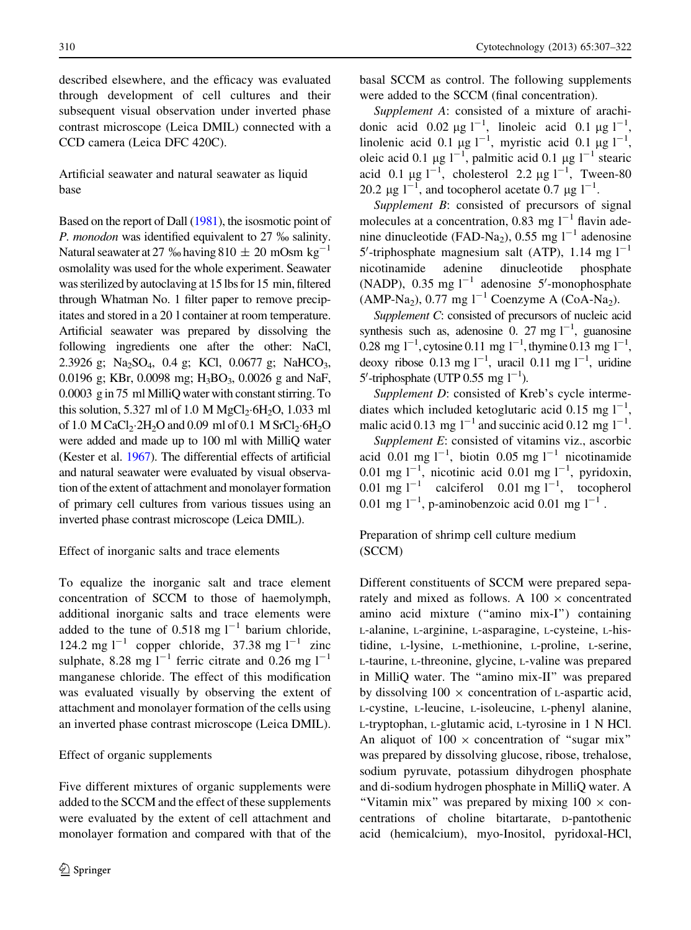described elsewhere, and the efficacy was evaluated through development of cell cultures and their subsequent visual observation under inverted phase contrast microscope (Leica DMIL) connected with a CCD camera (Leica DFC 420C).

Artificial seawater and natural seawater as liquid base

Based on the report of Dall ([1981\)](#page-14-0), the isosmotic point of P. monodon was identified equivalent to 27 ‰ salinity. Natural seawater at 27  $\%$  having 810  $\pm$  20 mOsm kg<sup>-1</sup> osmolality was used for the whole experiment. Seawater was sterilized by autoclaving at 15 lbs for 15 min, filtered through Whatman No. 1 filter paper to remove precipitates and stored in a 20 l container at room temperature. Artificial seawater was prepared by dissolving the following ingredients one after the other: NaCl, 2.3926 g; Na<sub>2</sub>SO<sub>4</sub>, 0.4 g; KCl, 0.0677 g; NaHCO<sub>3</sub>, 0.0196 g; KBr, 0.0098 mg;  $H_3BO_3$ , 0.0026 g and NaF, 0.0003 g in 75 ml MilliQ water with constant stirring. To this solution, 5.327 ml of 1.0 M  $MgCl_2 \cdot 6H_2O$ , 1.033 ml of 1.0 M CaCl<sub>2</sub> $\cdot$ 2H<sub>2</sub>O and 0.09 ml of 0.1 M SrCl<sub>2</sub> $\cdot$ 6H<sub>2</sub>O were added and made up to 100 ml with MilliQ water (Kester et al. [1967](#page-14-0)). The differential effects of artificial and natural seawater were evaluated by visual observation of the extent of attachment and monolayer formation of primary cell cultures from various tissues using an inverted phase contrast microscope (Leica DMIL).

# Effect of inorganic salts and trace elements

To equalize the inorganic salt and trace element concentration of SCCM to those of haemolymph, additional inorganic salts and trace elements were added to the tune of 0.518 mg  $1^{-1}$  barium chloride, 124.2 mg  $l^{-1}$  copper chloride, 37.38 mg  $l^{-1}$  zinc sulphate, 8.28 mg  $1^{-1}$  ferric citrate and 0.26 mg  $1^{-1}$ manganese chloride. The effect of this modification was evaluated visually by observing the extent of attachment and monolayer formation of the cells using an inverted phase contrast microscope (Leica DMIL).

# Effect of organic supplements

Five different mixtures of organic supplements were added to the SCCM and the effect of these supplements were evaluated by the extent of cell attachment and monolayer formation and compared with that of the basal SCCM as control. The following supplements were added to the SCCM (final concentration).

Supplement A: consisted of a mixture of arachidonic acid  $0.02 \mu g l^{-1}$ , linoleic acid  $0.1 \mu g l^{-1}$ , linolenic acid 0.1  $\mu$ g l<sup>-1</sup>, myristic acid 0.1  $\mu$ g l<sup>-1</sup>, oleic acid 0.1  $\mu$ g l<sup>-1</sup>, palmitic acid 0.1  $\mu$ g l<sup>-1</sup> stearic acid 0.1  $\mu$ g l<sup>-1</sup>, cholesterol 2.2  $\mu$ g l<sup>-1</sup>, Tween-80 20.2  $\mu$ g l<sup>-1</sup>, and tocopherol acetate 0.7  $\mu$ g l<sup>-1</sup>.

Supplement B: consisted of precursors of signal molecules at a concentration, 0.83 mg  $1^{-1}$  flavin adenine dinucleotide (FAD-Na<sub>2</sub>), 0.55 mg  $1^{-1}$  adenosine 5'-triphosphate magnesium salt (ATP), 1.14 mg  $1^{-1}$ nicotinamide adenine dinucleotide phosphate (NADP), 0.35 mg  $1^{-1}$  adenosine 5'-monophosphate  $(AMP-Na<sub>2</sub>), 0.77$  mg  $l^{-1}$  Coenzyme A (CoA-Na<sub>2</sub>).

Supplement C: consisted of precursors of nucleic acid synthesis such as, adenosine 0. 27 mg  $1^{-1}$ , guanosine 0.28 mg  $1^{-1}$ , cytosine 0.11 mg  $1^{-1}$ , thymine 0.13 mg  $1^{-1}$ , deoxy ribose 0.13 mg  $1^{-1}$ , uracil 0.11 mg  $1^{-1}$ , uridine 5'-triphosphate (UTP 0.55 mg  $1^{-1}$ ).

Supplement D: consisted of Kreb's cycle intermediates which included ketoglutaric acid 0.15 mg  $1^{-1}$ , malic acid 0.13 mg  $1^{-1}$  and succinic acid 0.12 mg  $1^{-1}$ .

Supplement E: consisted of vitamins viz., ascorbic acid 0.01 mg  $l^{-1}$ , biotin 0.05 mg  $l^{-1}$  nicotinamide  $0.01 \text{ mg } 1^{-1}$ , nicotinic acid  $0.01 \text{ mg } 1^{-1}$ , pyridoxin, 0.01 mg  $l^{-1}$  calciferol 0.01 mg  $l^{-1}$ , tocopherol 0.01 mg  $1^{-1}$ , p-aminobenzoic acid 0.01 mg  $1^{-1}$ .

Preparation of shrimp cell culture medium (SCCM)

Different constituents of SCCM were prepared separately and mixed as follows. A  $100 \times$  concentrated amino acid mixture (''amino mix-I'') containing L-alanine, L-arginine, L-asparagine, L-cysteine, L-histidine, L-lysine, L-methionine, L-proline, L-serine, L-taurine, L-threonine, glycine, L-valine was prepared in MilliQ water. The ''amino mix-II'' was prepared by dissolving  $100 \times$  concentration of L-aspartic acid, L-cystine, L-leucine, L-isoleucine, L-phenyl alanine, L-tryptophan, L-glutamic acid, L-tyrosine in 1 N HCl. An aliquot of  $100 \times$  concentration of "sugar mix" was prepared by dissolving glucose, ribose, trehalose, sodium pyruvate, potassium dihydrogen phosphate and di-sodium hydrogen phosphate in MilliQ water. A "Vitamin mix" was prepared by mixing  $100 \times \text{con-}$ centrations of choline bitartarate, D-pantothenic acid (hemicalcium), myo-Inositol, pyridoxal-HCl,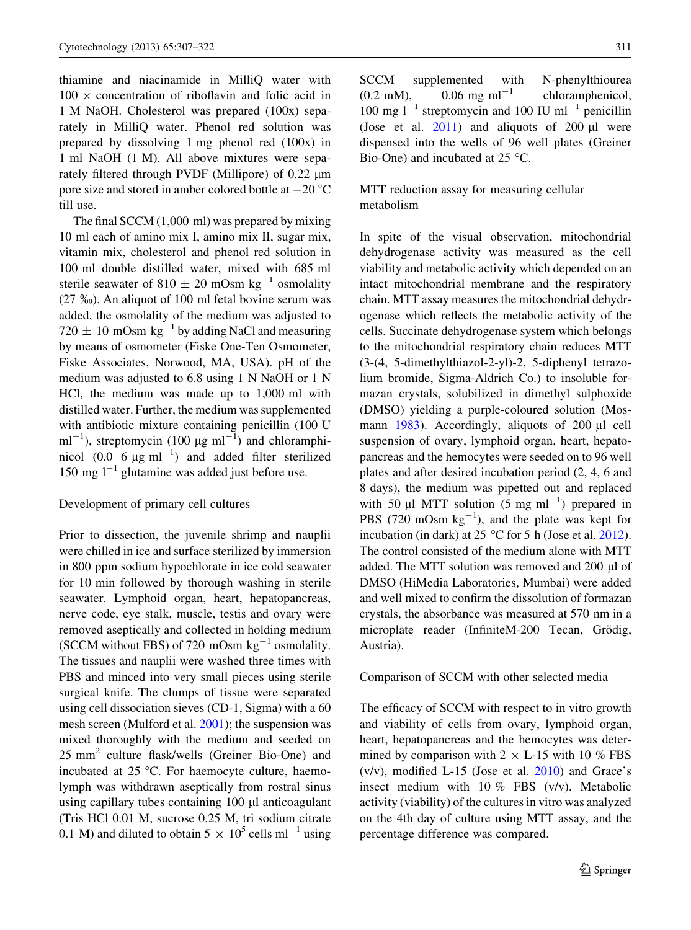thiamine and niacinamide in MilliQ water with  $100 \times$  concentration of riboflavin and folic acid in 1 M NaOH. Cholesterol was prepared (100x) separately in MilliQ water. Phenol red solution was prepared by dissolving 1 mg phenol red (100x) in 1 ml NaOH (1 M). All above mixtures were separately filtered through PVDF (Millipore) of  $0.22 \mu m$ pore size and stored in amber colored bottle at  $-20$  °C till use.

The final SCCM (1,000 ml) was prepared by mixing 10 ml each of amino mix I, amino mix II, sugar mix, vitamin mix, cholesterol and phenol red solution in 100 ml double distilled water, mixed with 685 ml sterile seawater of 810  $\pm$  20 mOsm kg<sup>-1</sup> osmolality (27 %). An aliquot of 100 ml fetal bovine serum was added, the osmolality of the medium was adjusted to  $720 \pm 10$  mOsm kg<sup>-1</sup> by adding NaCl and measuring by means of osmometer (Fiske One-Ten Osmometer, Fiske Associates, Norwood, MA, USA). pH of the medium was adjusted to 6.8 using 1 N NaOH or 1 N HCl, the medium was made up to 1,000 ml with distilled water. Further, the medium was supplemented with antibiotic mixture containing penicillin (100 U  $ml^{-1}$ ), streptomycin (100 µg ml<sup>-1</sup>) and chloramphinicol (0.0 6  $\mu$ g ml<sup>-1</sup>) and added filter sterilized 150 mg  $1^{-1}$  glutamine was added just before use.

#### Development of primary cell cultures

Prior to dissection, the juvenile shrimp and nauplii were chilled in ice and surface sterilized by immersion in 800 ppm sodium hypochlorate in ice cold seawater for 10 min followed by thorough washing in sterile seawater. Lymphoid organ, heart, hepatopancreas, nerve code, eye stalk, muscle, testis and ovary were removed aseptically and collected in holding medium (SCCM without FBS) of 720 mOsm  $kg^{-1}$  osmolality. The tissues and nauplii were washed three times with PBS and minced into very small pieces using sterile surgical knife. The clumps of tissue were separated using cell dissociation sieves (CD-1, Sigma) with a 60 mesh screen (Mulford et al. [2001\)](#page-15-0); the suspension was mixed thoroughly with the medium and seeded on 25 mm<sup>2</sup> culture flask/wells (Greiner Bio-One) and incubated at  $25 \text{ °C}$ . For haemocyte culture, haemolymph was withdrawn aseptically from rostral sinus using capillary tubes containing  $100 \mu l$  anticoagulant (Tris HCl 0.01 M, sucrose 0.25 M, tri sodium citrate 0.1 M) and diluted to obtain  $5 \times 10^5$  cells ml<sup>-1</sup> using SCCM supplemented with N-phenylthiourea  $(0.2 \text{ mM})$ ,  $0.06 \text{ mg ml}^{-1}$  chloramphenicol, 100 mg  $1^{-1}$  streptomycin and 100 IU ml<sup>-1</sup> penicillin (Jose et al.  $2011$ ) and aliquots of  $200 \mu l$  were dispensed into the wells of 96 well plates (Greiner Bio-One) and incubated at  $25^{\circ}$ C.

# MTT reduction assay for measuring cellular metabolism

In spite of the visual observation, mitochondrial dehydrogenase activity was measured as the cell viability and metabolic activity which depended on an intact mitochondrial membrane and the respiratory chain. MTT assay measures the mitochondrial dehydrogenase which reflects the metabolic activity of the cells. Succinate dehydrogenase system which belongs to the mitochondrial respiratory chain reduces MTT (3-(4, 5-dimethylthiazol-2-yl)-2, 5-diphenyl tetrazolium bromide, Sigma-Aldrich Co.) to insoluble formazan crystals, solubilized in dimethyl sulphoxide (DMSO) yielding a purple-coloured solution (Mos-mann [1983\)](#page-14-0). Accordingly, aliquots of  $200 \mu l$  cell suspension of ovary, lymphoid organ, heart, hepatopancreas and the hemocytes were seeded on to 96 well plates and after desired incubation period (2, 4, 6 and 8 days), the medium was pipetted out and replaced with 50  $\mu$ l MTT solution (5 mg ml<sup>-1</sup>) prepared in PBS (720 mOsm  $kg^{-1}$ ), and the plate was kept for incubation (in dark) at 25  $\degree$ C for 5 h (Jose et al. [2012](#page-14-0)). The control consisted of the medium alone with MTT added. The MTT solution was removed and  $200 \mu l$  of DMSO (HiMedia Laboratories, Mumbai) were added and well mixed to confirm the dissolution of formazan crystals, the absorbance was measured at 570 nm in a microplate reader (InfiniteM-200 Tecan, Grödig, Austria).

#### Comparison of SCCM with other selected media

The efficacy of SCCM with respect to in vitro growth and viability of cells from ovary, lymphoid organ, heart, hepatopancreas and the hemocytes was determined by comparison with  $2 \times L-15$  with 10 % FBS  $(v/v)$ , modified L-15 (Jose et al. [2010](#page-14-0)) and Grace's insect medium with 10 % FBS (v/v). Metabolic activity (viability) of the cultures in vitro was analyzed on the 4th day of culture using MTT assay, and the percentage difference was compared.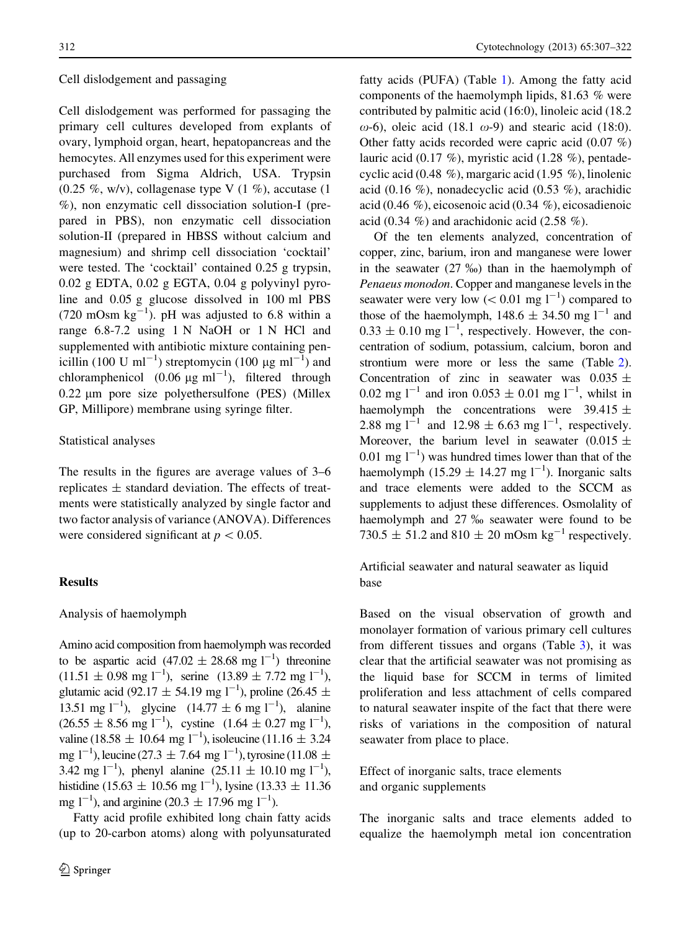#### Cell dislodgement and passaging

Cell dislodgement was performed for passaging the primary cell cultures developed from explants of ovary, lymphoid organ, heart, hepatopancreas and the hemocytes. All enzymes used for this experiment were purchased from Sigma Aldrich, USA. Trypsin  $(0.25 \%, w/v)$ , collagenase type V  $(1 \%)$ , accutase  $(1 \%)$ %), non enzymatic cell dissociation solution-I (prepared in PBS), non enzymatic cell dissociation solution-II (prepared in HBSS without calcium and magnesium) and shrimp cell dissociation 'cocktail' were tested. The 'cocktail' contained 0.25 g trypsin, 0.02 g EDTA, 0.02 g EGTA, 0.04 g polyvinyl pyroline and 0.05 g glucose dissolved in 100 ml PBS  $(720 \text{ mOsm kg}^{-1})$ . pH was adjusted to 6.8 within a range 6.8-7.2 using 1 N NaOH or 1 N HCl and supplemented with antibiotic mixture containing penicillin (100 U ml<sup>-1</sup>) streptomycin (100  $\mu$ g ml<sup>-1</sup>) and chloramphenicol  $(0.06 \text{ µg ml}^{-1})$ , filtered through  $0.22 \mu m$  pore size polyethersulfone (PES) (Millex GP, Millipore) membrane using syringe filter.

#### Statistical analyses

The results in the figures are average values of 3–6 replicates  $\pm$  standard deviation. The effects of treatments were statistically analyzed by single factor and two factor analysis of variance (ANOVA). Differences were considered significant at  $p < 0.05$ .

#### Results

# Analysis of haemolymph

Amino acid composition from haemolymph was recorded to be aspartic acid  $(47.02 \pm 28.68 \text{ mg l}^{-1})$  threonine  $(11.51 \pm 0.98 \text{ mg l}^{-1})$ , serine  $(13.89 \pm 7.72 \text{ mg l}^{-1})$ , glutamic acid (92.17  $\pm$  54.19 mg l<sup>-1</sup>), proline (26.45  $\pm$ 13.51 mg l<sup>-1</sup>), glycine  $(14.77 \pm 6 \text{ mg l}^{-1})$ , alanine  $(26.55 \pm 8.56 \text{ mg l}^{-1})$ , cystine  $(1.64 \pm 0.27 \text{ mg l}^{-1})$ , valine (18.58  $\pm$  10.64 mg 1<sup>-1</sup>), isoleucine (11.16  $\pm$  3.24 mg 1<sup>-1</sup>), leucine (27.3  $\pm$  7.64 mg 1<sup>-1</sup>), tyrosine (11.08  $\pm$ 3.42 mg l<sup>-1</sup>), phenyl alanine  $(25.11 \pm 10.10 \text{ mg l}^{-1})$ , histidine (15.63  $\pm$  10.56 mg 1<sup>-1</sup>), lysine (13.33  $\pm$  11.36 mg  $1^{-1}$ ), and arginine (20.3  $\pm$  17.96 mg  $1^{-1}$ ).

Fatty acid profile exhibited long chain fatty acids (up to 20-carbon atoms) along with polyunsaturated fatty acids (PUFA) (Table [1\)](#page-6-0). Among the fatty acid components of the haemolymph lipids, 81.63 % were contributed by palmitic acid (16:0), linoleic acid (18.2  $\omega$ -6), oleic acid (18.1  $\omega$ -9) and stearic acid (18:0). Other fatty acids recorded were capric acid (0.07 %) lauric acid (0.17 %), myristic acid (1.28 %), pentadecyclic acid (0.48 %), margaric acid (1.95 %), linolenic acid (0.16 %), nonadecyclic acid (0.53 %), arachidic acid (0.46 %), eicosenoic acid (0.34 %), eicosadienoic acid (0.34  $%$ ) and arachidonic acid (2.58  $%$ ).

Of the ten elements analyzed, concentration of copper, zinc, barium, iron and manganese were lower in the seawater  $(27 \%)$  than in the haemolymph of Penaeus monodon. Copper and manganese levels in the seawater were very low  $(< 0.01$  mg l<sup>-1</sup>) compared to those of the haemolymph,  $148.6 \pm 34.50$  mg l<sup>-1</sup> and  $0.33 \pm 0.10$  mg l<sup>-1</sup>, respectively. However, the concentration of sodium, potassium, calcium, boron and strontium were more or less the same (Table [2\)](#page-6-0). Concentration of zinc in seawater was  $0.035 \pm$ 0.02 mg  $l^{-1}$  and iron 0.053  $\pm$  0.01 mg  $l^{-1}$ , whilst in haemolymph the concentrations were  $39.415 \pm$ 2.88 mg  $1^{-1}$  and 12.98  $\pm$  6.63 mg  $1^{-1}$ , respectively. Moreover, the barium level in seawater  $(0.015 \pm$  $0.01$  mg  $1^{-1}$ ) was hundred times lower than that of the haemolymph  $(15.29 \pm 14.27 \text{ mg l}^{-1})$ . Inorganic salts and trace elements were added to the SCCM as supplements to adjust these differences. Osmolality of haemolymph and 27 ‰ seawater were found to be 730.5  $\pm$  51.2 and 810  $\pm$  20 mOsm kg<sup>-1</sup> respectively.

Artificial seawater and natural seawater as liquid base

Based on the visual observation of growth and monolayer formation of various primary cell cultures from different tissues and organs (Table [3](#page-7-0)), it was clear that the artificial seawater was not promising as the liquid base for SCCM in terms of limited proliferation and less attachment of cells compared to natural seawater inspite of the fact that there were risks of variations in the composition of natural seawater from place to place.

Effect of inorganic salts, trace elements and organic supplements

The inorganic salts and trace elements added to equalize the haemolymph metal ion concentration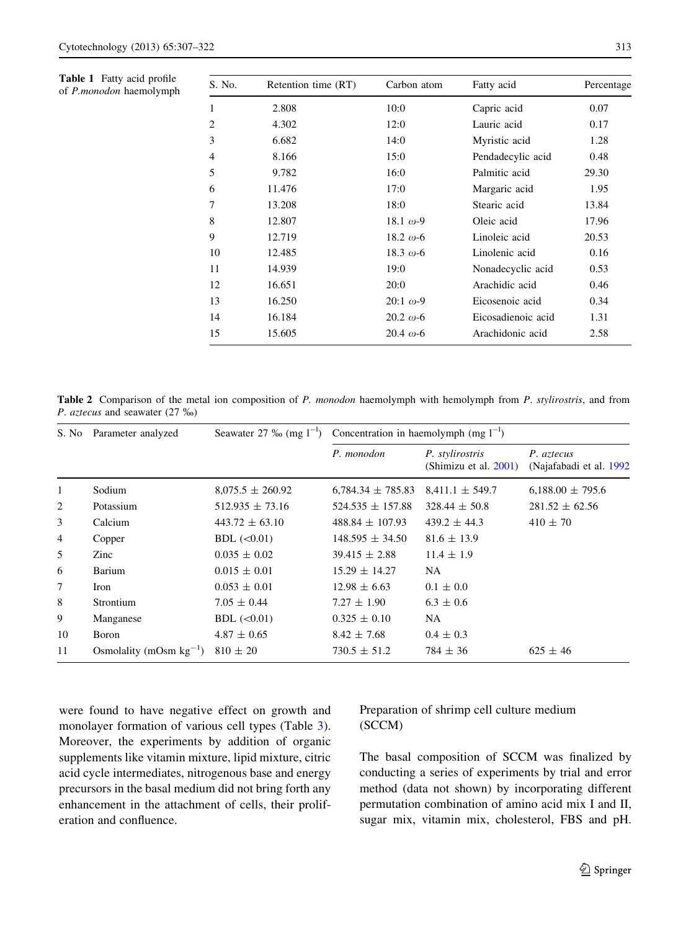<span id="page-6-0"></span>

| <b>Table 1</b> Fatty acid profile<br>of <i>P.monodon</i> haemolymph | S. No. | Retention time (RT) | Carbon atom       | Fatty acid         | Percentage |
|---------------------------------------------------------------------|--------|---------------------|-------------------|--------------------|------------|
|                                                                     |        | 2.808               | 10:0              | Capric acid        | 0.07       |
|                                                                     | 2      | 4.302               | 12:0              | Lauric acid        | 0.17       |
|                                                                     | 3      | 6.682               | 14:0              | Myristic acid      | 1.28       |
|                                                                     | 4      | 8.166               | 15:0              | Pendadecylic acid  | 0.48       |
|                                                                     | 5      | 9.782               | 16:0              | Palmitic acid      | 29.30      |
|                                                                     | 6      | 11.476              | 17:0              | Margaric acid      | 1.95       |
|                                                                     | 7      | 13.208              | 18:0              | Stearic acid       | 13.84      |
|                                                                     | 8      | 12.807              | 18.1 $\omega$ -9  | Oleic acid         | 17.96      |
|                                                                     | 9      | 12.719              | 18.2 $\omega$ -6  | Linoleic acid      | 20.53      |
|                                                                     | 10     | 12.485              | 18.3 $\omega$ -6  | Linolenic acid     | 0.16       |
|                                                                     | 11     | 14.939              | 19:0              | Nonadecyclic acid  | 0.53       |
|                                                                     | 12     | 16.651              | 20:0              | Arachidic acid     | 0.46       |
|                                                                     | 13     | 16.250              | $20:1 \omega - 9$ | Eicosenoic acid    | 0.34       |
|                                                                     | 14     | 16.184              | $20.2 \omega - 6$ | Eicosadienoic acid | 1.31       |
|                                                                     | 15     | 15.605              | $20.4 \omega - 6$ | Arachidonic acid   | 2.58       |

Table 2 Comparison of the metal ion composition of P. monodon haemolymph with hemolymph from P. stylirostris, and from P. aztecus and seawater (27 ‰)

| S. No          | Parameter analyzed           | Seawater 27 $\%$ (mg $1^{-1}$ ) | Concentration in haemolymph (mg $1^{-1}$ ) |                                             |                                        |  |  |
|----------------|------------------------------|---------------------------------|--------------------------------------------|---------------------------------------------|----------------------------------------|--|--|
|                |                              |                                 | P. monodon                                 | P. stylirostris<br>(Shimizu et al. $2001$ ) | P. aztecus<br>(Najafabadi et al. 1992) |  |  |
| 1              | Sodium                       | $8,075.5 \pm 260.92$            | $6,784.34 \pm 785.83$                      | $8,411.1 \pm 549.7$                         | $6,188.00 \pm 795.6$                   |  |  |
| 2              | Potassium                    | $512.935 \pm 73.16$             | $524.535 \pm 157.88$                       | $328.44 \pm 50.8$                           | $281.52 \pm 62.56$                     |  |  |
| 3              | Calcium                      | $443.72 \pm 63.10$              | $488.84 \pm 107.93$                        | $439.2 \pm 44.3$                            | $410 \pm 70$                           |  |  |
| $\overline{4}$ | Copper                       | $BDL$ (<0.01)                   | $148.595 \pm 34.50$                        | $81.6 \pm 13.9$                             |                                        |  |  |
| 5              | Zinc                         | $0.035 \pm 0.02$                | $39.415 \pm 2.88$                          | $11.4 \pm 1.9$                              |                                        |  |  |
| 6              | <b>Barium</b>                | $0.015 \pm 0.01$                | $15.29 \pm 14.27$                          | <b>NA</b>                                   |                                        |  |  |
| 7              | Iron                         | $0.053 \pm 0.01$                | $12.98 \pm 6.63$                           | $0.1 \pm 0.0$                               |                                        |  |  |
| 8              | Strontium                    | $7.05 \pm 0.44$                 | $7.27 \pm 1.90$                            | $6.3 \pm 0.6$                               |                                        |  |  |
| 9              | Manganese                    | BDL (<0.01)                     | $0.325 \pm 0.10$                           | NA                                          |                                        |  |  |
| 10             | Boron                        | $4.87 \pm 0.65$                 | $8.42 \pm 7.68$                            | $0.4 \pm 0.3$                               |                                        |  |  |
| 11             | Osmolality (mOsm $kg^{-1}$ ) | $810 \pm 20$                    | $730.5 \pm 51.2$                           | $784 \pm 36$                                | $625 \pm 46$                           |  |  |

were found to have negative effect on growth and monolayer formation of various cell types (Table [3](#page-7-0)). Moreover, the experiments by addition of organic supplements like vitamin mixture, lipid mixture, citric acid cycle intermediates, nitrogenous base and energy precursors in the basal medium did not bring forth any enhancement in the attachment of cells, their proliferation and confluence.

# Preparation of shrimp cell culture medium (SCCM)

The basal composition of SCCM was finalized by conducting a series of experiments by trial and error method (data not shown) by incorporating different permutation combination of amino acid mix I and II, sugar mix, vitamin mix, cholesterol, FBS and pH.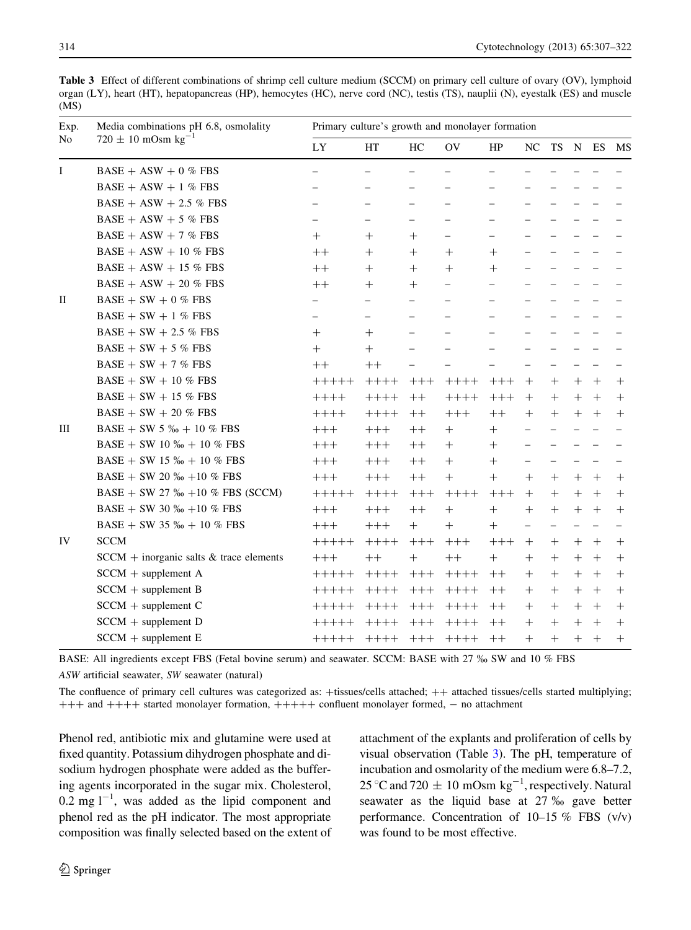<span id="page-7-0"></span>Table 3 Effect of different combinations of shrimp cell culture medium (SCCM) on primary cell culture of ovary (OV), lymphoid organ (LY), heart (HT), hepatopancreas (HP), hemocytes (HC), nerve cord (NC), testis (TS), nauplii (N), eyestalk (ES) and muscle (MS)

| Exp. | Media combinations pH 6.8, osmolality<br>$720 \pm 10$ mOsm kg <sup>-1</sup> |          | Primary culture's growth and monolayer formation |                 |                          |          |                          |                    |             |        |        |
|------|-----------------------------------------------------------------------------|----------|--------------------------------------------------|-----------------|--------------------------|----------|--------------------------|--------------------|-------------|--------|--------|
| No.  |                                                                             | LY       | HT                                               | HC              | <b>OV</b>                | HP       | NC                       | <b>TS</b>          | $\mathbf N$ | ES     | MS     |
| Ι    | $BASE + ASW + 0 % FBS$                                                      |          |                                                  |                 |                          |          |                          |                    |             |        |        |
|      | $BASE + ASW + 1 % FBS$                                                      |          |                                                  |                 |                          |          |                          |                    |             |        |        |
|      | $BASE + ASW + 2.5 % FBS$                                                    |          |                                                  |                 |                          |          |                          |                    |             |        |        |
|      | $BASE + ASW + 5 % FBS$                                                      |          |                                                  | $\qquad \qquad$ |                          |          |                          |                    |             |        |        |
|      | $BASE + ASW + 7 % FBS$                                                      | $^{+}$   | $^{+}$                                           | $^{+}$          |                          |          |                          |                    |             |        |        |
|      | $BASE + ASW + 10 % FBS$                                                     | $++$     | $^{+}$                                           | $^{+}$          | $^{+}$                   | $^{+}$   |                          |                    |             |        |        |
|      | $BASE + ASW + 15 % FBS$                                                     | $++$     | $\hspace{0.1mm} +$                               | $^{+}$          | $^{+}$                   | $^{+}$   |                          |                    |             |        |        |
|      | $BASE + ASW + 20 \% FBS$                                                    | $++$     | $^+$                                             | $^{+}$          | $\overline{\phantom{0}}$ |          |                          |                    |             |        |        |
| П    | $BASE + SW + 0 % FBS$                                                       |          |                                                  |                 |                          |          |                          |                    |             |        |        |
|      | $BASE + SW + 1$ % FBS                                                       |          | $\overline{\phantom{0}}$                         |                 |                          |          |                          |                    |             |        |        |
|      | $BASE + SW + 2.5 % FBS$                                                     | $^{+}$   | $\hspace{0.1mm} +$                               |                 |                          |          |                          |                    |             |        |        |
|      | $BASE + SW + 5 % FBS$                                                       | $+$      | $\hspace{0.1mm} +$                               |                 |                          |          |                          |                    |             |        |        |
|      | $BASE + SW + 7 % FBS$                                                       | $++$     | $^{++}$                                          |                 |                          |          |                          |                    |             |        |        |
|      | $BASE + SW + 10 \% FBS$                                                     | $+++++$  | $+++++$                                          | $+++$           | $+++++$                  | $+++$    | $^{+}$                   | $^{+}$             | $^{+}$      | $^{+}$ | $^{+}$ |
|      | $BASE + SW + 15 % FBS$                                                      | $+++++$  | $+++++$                                          | $++$            | $+++++$                  | $^{+++}$ | $^{+}$                   | $^{+}$             | $^{+}$      | $^{+}$ | $+$    |
|      | $BASE + SW + 20 \% FBS$                                                     | $+++++$  | $+++++$                                          | $++$            | $+++$                    | $++$     | $\hspace{0.1mm} +$       | $\hspace{0.1mm} +$ | $^{+}$      | $^{+}$ | $+$    |
| Ш    | $BASE + SW 5 % + 10 % FBS$                                                  | $+++$    | $+++$                                            | $++$            | $^{+}$                   | $+$      | $\overline{\phantom{0}}$ |                    |             |        |        |
|      | $BASE + SW 10 \% + 10 \% FBS$                                               | $+++$    | $+++$                                            | $++$            | $^{+}$                   | $^{+}$   |                          |                    |             |        |        |
|      | BASE + SW 15 $\%$ + 10 $\%$ FBS                                             | $+++$    | $+++$                                            | $++$            | $^{+}$                   | $^{+}$   |                          |                    |             |        |        |
|      | BASE + SW 20 $\%$ +10 $\%$ FBS                                              | $+++$    | $+++$                                            | $++$            | $+$                      | $^{+}$   | $^{+}$                   | $^{+}$             | $+$         | $^{+}$ | $^{+}$ |
|      | BASE + SW 27 $\%$ +10 $\%$ FBS (SCCM)                                       | $+++++$  | $+++++$                                          | $+++$           | $+++++$                  | $+++$    | $^{+}$                   | $^{+}$             | $^{+}$      | $^{+}$ | $+$    |
|      | BASE + SW 30 $\%$ +10 $\%$ FBS                                              | $^{+++}$ | $+++$                                            | $++$            | $^{+}$                   | $+$      | $^{+}$                   | $+$                | $+$         | $^{+}$ | $+$    |
|      | BASE + SW 35 $\%$ + 10 $\%$ FBS                                             | $+++$    | $+++$                                            | $^{+}$          | $^{+}$                   | $+$      | $\overline{\phantom{0}}$ |                    |             |        |        |
| IV   | <b>SCCM</b>                                                                 | $+++++$  | $+++++$                                          | $+++$           | $+++$                    | $+++$    | $^{+}$                   | $^{+}$             | $^{+}$      | $^{+}$ | $^{+}$ |
|      | $SCCM$ + inorganic salts & trace elements                                   | $^{+++}$ | $^{++}$                                          | $+$             | $^{++}$                  | $^+$     | $\hspace{0.1mm} +$       | $^{+}$             | $^{+}$      | $^{+}$ | $^{+}$ |
|      | $SCCM + supplement A$                                                       | $+++++$  | $+++++$                                          | $+++$           | $+++++$                  | $++$     | $^{+}$                   | $^{+}$             | $^{+}$      | $^{+}$ | $+$    |
|      | $SCCM + supplement B$                                                       | $+++++$  | $+++++$                                          | $+++$           | $+++++$                  | $++$     | $^{+}$                   | $^{+}$             | $+$         | $^{+}$ | $+$    |
|      | $SCCM + supplement C$                                                       | $+++++$  | $+++++$                                          | $^{+++}$        | $++++-$                  | $++$     | $^{+}$                   | $^{+}$             | $^{+}$      | $^{+}$ | $+$    |
|      | $SCCM$ + supplement D                                                       | $+++++$  | $+++++$                                          | $+++$           | $+++++$                  | $++$     | $^{+}$                   | $^{+}$             | $^{+}$      | $^{+}$ | $^{+}$ |
|      | $SCCM + supplement E$                                                       | $+++++$  | $+++++$                                          | $+++$           | $+++++$                  | $++$     | $+$                      | $+$                | $+$         | $^{+}$ | $^{+}$ |

BASE: All ingredients except FBS (Fetal bovine serum) and seawater. SCCM: BASE with 27 % SW and 10 % FBS ASW artificial seawater, SW seawater (natural)

The confluence of primary cell cultures was categorized as:  $+$ tissues/cells attached;  $++$  attached tissues/cells started multiplying; <sup>+++</sup> and <sup>++++</sup> started monolayer formation,  $+++++$  confluent monolayer formed, - no attachment

Phenol red, antibiotic mix and glutamine were used at fixed quantity. Potassium dihydrogen phosphate and disodium hydrogen phosphate were added as the buffering agents incorporated in the sugar mix. Cholesterol,  $0.2 \text{ mg l}^{-1}$ , was added as the lipid component and phenol red as the pH indicator. The most appropriate composition was finally selected based on the extent of attachment of the explants and proliferation of cells by visual observation (Table 3). The pH, temperature of incubation and osmolarity of the medium were 6.8–7.2, 25 °C and 720  $\pm$  10 mOsm kg<sup>-1</sup>, respectively. Natural seawater as the liquid base at  $27\%$  gave better performance. Concentration of  $10-15\%$  FBS (v/v) was found to be most effective.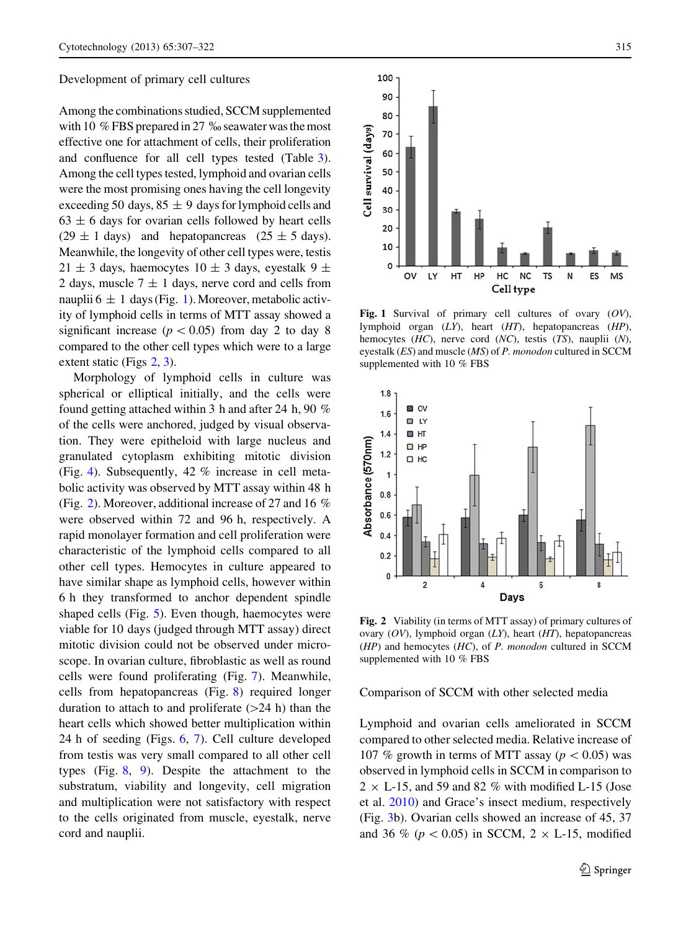#### Development of primary cell cultures

Among the combinations studied, SCCM supplemented with 10  $%$  FBS prepared in 27  $%$  seawater was the most effective one for attachment of cells, their proliferation and confluence for all cell types tested (Table [3](#page-7-0)). Among the cell types tested, lymphoid and ovarian cells were the most promising ones having the cell longevity exceeding 50 days,  $85 \pm 9$  days for lymphoid cells and  $63 \pm 6$  days for ovarian cells followed by heart cells  $(29 \pm 1$  days) and hepatopancreas  $(25 \pm 5)$  days). Meanwhile, the longevity of other cell types were, testis  $21 \pm 3$  days, haemocytes  $10 \pm 3$  days, eyestalk  $9 \pm 3$ 2 days, muscle  $7 \pm 1$  days, nerve cord and cells from nauplii  $6 \pm 1$  days (Fig. 1). Moreover, metabolic activity of lymphoid cells in terms of MTT assay showed a significant increase ( $p < 0.05$ ) from day 2 to day 8 compared to the other cell types which were to a large extent static (Figs 2, [3](#page-9-0)).

Morphology of lymphoid cells in culture was spherical or elliptical initially, and the cells were found getting attached within 3 h and after 24 h, 90 % of the cells were anchored, judged by visual observation. They were epitheloid with large nucleus and granulated cytoplasm exhibiting mitotic division (Fig. [4](#page-9-0)). Subsequently, 42 % increase in cell metabolic activity was observed by MTT assay within 48 h (Fig. 2). Moreover, additional increase of 27 and 16 % were observed within 72 and 96 h, respectively. A rapid monolayer formation and cell proliferation were characteristic of the lymphoid cells compared to all other cell types. Hemocytes in culture appeared to have similar shape as lymphoid cells, however within 6 h they transformed to anchor dependent spindle shaped cells (Fig. [5](#page-9-0)). Even though, haemocytes were viable for 10 days (judged through MTT assay) direct mitotic division could not be observed under microscope. In ovarian culture, fibroblastic as well as round cells were found proliferating (Fig. [7](#page-10-0)). Meanwhile, cells from hepatopancreas (Fig. [8](#page-10-0)) required longer duration to attach to and proliferate  $(>=24 h)$  than the heart cells which showed better multiplication within 24 h of seeding (Figs. [6](#page-9-0), [7\)](#page-10-0). Cell culture developed from testis was very small compared to all other cell types (Fig. [8,](#page-10-0) [9](#page-10-0)). Despite the attachment to the substratum, viability and longevity, cell migration and multiplication were not satisfactory with respect to the cells originated from muscle, eyestalk, nerve cord and nauplii.



Fig. 1 Survival of primary cell cultures of ovary  $(OV)$ , lymphoid organ (LY), heart (HT), hepatopancreas (HP), hemocytes (HC), nerve cord (NC), testis (TS), nauplii (N), eyestalk (ES) and muscle (MS) of P. monodon cultured in SCCM supplemented with 10 % FBS



Fig. 2 Viability (in terms of MTT assay) of primary cultures of ovary  $(OV)$ , lymphoid organ  $(LY)$ , heart  $(HT)$ , hepatopancreas  $(HP)$  and hemocytes  $(HC)$ , of P. monodon cultured in SCCM supplemented with 10 % FBS

Comparison of SCCM with other selected media

Lymphoid and ovarian cells ameliorated in SCCM compared to other selected media. Relative increase of 107 % growth in terms of MTT assay ( $p < 0.05$ ) was observed in lymphoid cells in SCCM in comparison to  $2 \times L$ -15, and 59 and 82 % with modified L-15 (Jose et al. [2010](#page-14-0)) and Grace's insect medium, respectively (Fig. [3b](#page-9-0)). Ovarian cells showed an increase of 45, 37 and 36 % ( $p < 0.05$ ) in SCCM, 2  $\times$  L-15, modified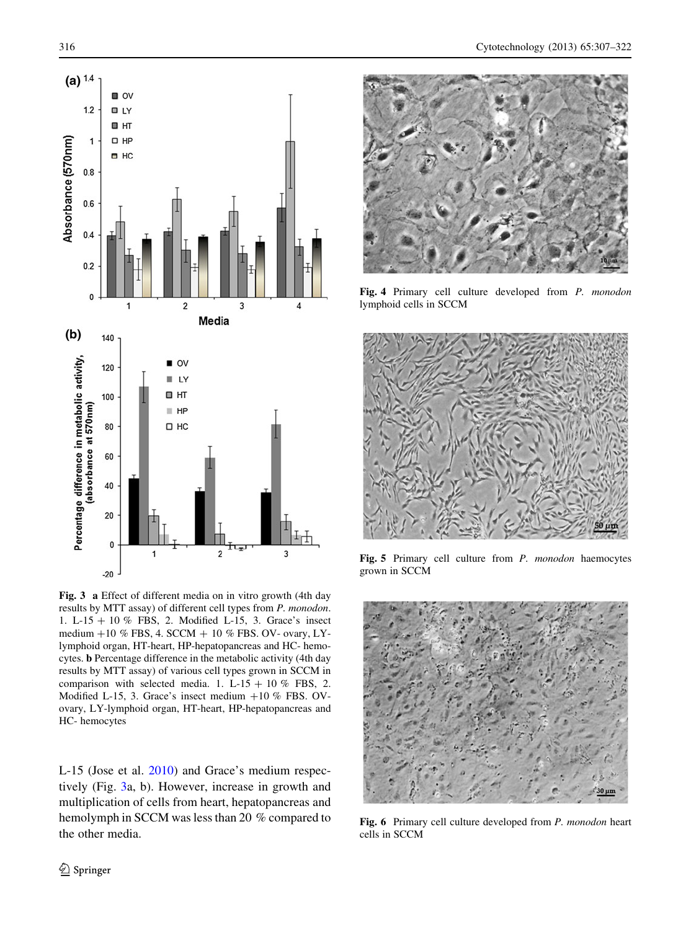<span id="page-9-0"></span>

Fig. 3 a Effect of different media on in vitro growth (4th day results by MTT assay) of different cell types from P. monodon. 1. L-15  $+$  10 % FBS, 2. Modified L-15, 3. Grace's insect medium  $+10$  % FBS, 4. SCCM  $+10$  % FBS. OV- ovary, LYlymphoid organ, HT-heart, HP-hepatopancreas and HC- hemocytes. b Percentage difference in the metabolic activity (4th day results by MTT assay) of various cell types grown in SCCM in comparison with selected media. 1. L-15  $+$  10 % FBS, 2. Modified L-15, 3. Grace's insect medium  $+10$  % FBS. OVovary, LY-lymphoid organ, HT-heart, HP-hepatopancreas and HC- hemocytes

L-15 (Jose et al. [2010\)](#page-14-0) and Grace's medium respectively (Fig. 3a, b). However, increase in growth and multiplication of cells from heart, hepatopancreas and hemolymph in SCCM was less than 20 % compared to the other media.



Fig. 4 Primary cell culture developed from P. monodon lymphoid cells in SCCM



Fig. 5 Primary cell culture from P. monodon haemocytes grown in SCCM



Fig. 6 Primary cell culture developed from P. monodon heart cells in SCCM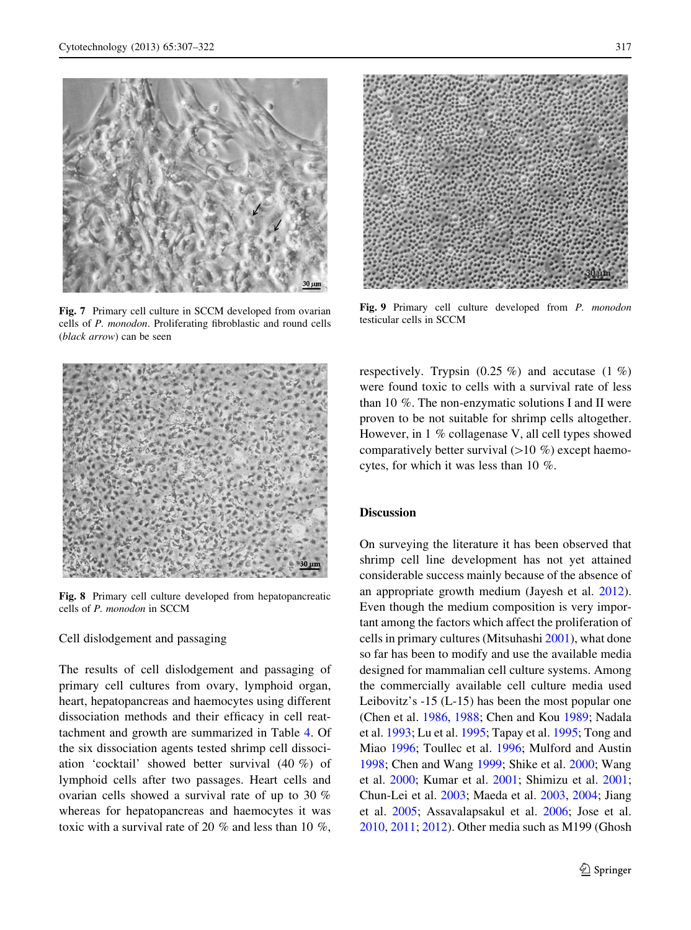<span id="page-10-0"></span>

Fig. 7 Primary cell culture in SCCM developed from ovarian cells of P. monodon. Proliferating fibroblastic and round cells (black arrow) can be seen



Fig. 8 Primary cell culture developed from hepatopancreatic cells of P. monodon in SCCM

Cell dislodgement and passaging

The results of cell dislodgement and passaging of primary cell cultures from ovary, lymphoid organ, heart, hepatopancreas and haemocytes using different dissociation methods and their efficacy in cell reattachment and growth are summarized in Table [4.](#page-11-0) Of the six dissociation agents tested shrimp cell dissociation 'cocktail' showed better survival (40 %) of lymphoid cells after two passages. Heart cells and ovarian cells showed a survival rate of up to 30 % whereas for hepatopancreas and haemocytes it was toxic with a survival rate of 20 % and less than 10 %,



Fig. 9 Primary cell culture developed from P. monodon testicular cells in SCCM

respectively. Trypsin  $(0.25 \%)$  and accutase  $(1 \%)$ were found toxic to cells with a survival rate of less than 10 %. The non-enzymatic solutions I and II were proven to be not suitable for shrimp cells altogether. However, in 1 % collagenase V, all cell types showed comparatively better survival  $(>10 \%)$  except haemocytes, for which it was less than 10 %.

# Discussion

On surveying the literature it has been observed that shrimp cell line development has not yet attained considerable success mainly because of the absence of an appropriate growth medium (Jayesh et al. [2012](#page-14-0)). Even though the medium composition is very important among the factors which affect the proliferation of cells in primary cultures (Mitsuhashi [2001\)](#page-14-0), what done so far has been to modify and use the available media designed for mammalian cell culture systems. Among the commercially available cell culture media used Leibovitz's -15 (L-15) has been the most popular one (Chen et al. [1986,](#page-14-0) [1988;](#page-14-0) Chen and Kou [1989](#page-13-0); Nadala et al. [1993;](#page-15-0) Lu et al. [1995;](#page-14-0) Tapay et al. [1995;](#page-15-0) Tong and Miao [1996](#page-15-0); Toullec et al. [1996](#page-15-0); Mulford and Austin [1998;](#page-14-0) Chen and Wang [1999;](#page-13-0) Shike et al. [2000;](#page-15-0) Wang et al. [2000;](#page-15-0) Kumar et al. [2001](#page-14-0); Shimizu et al. [2001](#page-15-0); Chun-Lei et al. [2003](#page-14-0); Maeda et al. [2003](#page-14-0), [2004](#page-14-0); Jiang et al. [2005;](#page-14-0) Assavalapsakul et al. [2006](#page-13-0); Jose et al. [2010,](#page-14-0) [2011](#page-14-0); [2012](#page-14-0)). Other media such as M199 (Ghosh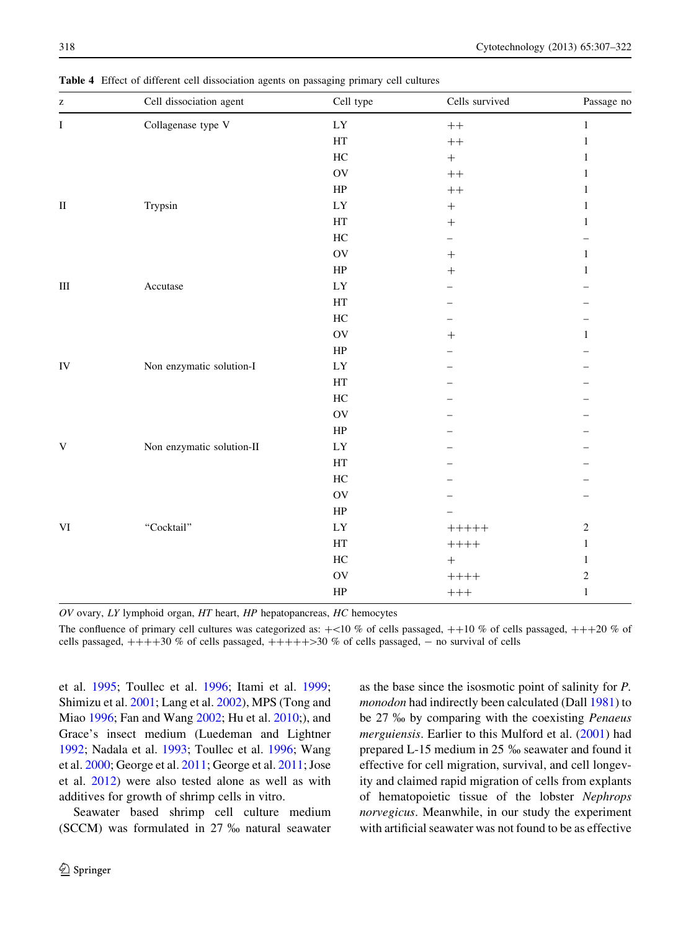| Z           | Cell dissociation agent   | Cell type                  | Cells survived    | Passage no   |
|-------------|---------------------------|----------------------------|-------------------|--------------|
| I           | Collagenase type V        | ${\rm LY}$                 | $++$              | $\,1\,$      |
|             |                           | HT                         | $++$              | $\,1\,$      |
|             |                           | $\rm HC$                   | $\boldsymbol{+}$  | $\mathbf{1}$ |
|             |                           | O <sub>V</sub>             | $++$              | $\mathbf{1}$ |
|             |                           | HP                         | $++$              | 1            |
| $\rm II$    | Trypsin                   | $\mathop{\rm LY}\nolimits$ | $\boldsymbol{+}$  | $\mathbf{1}$ |
|             |                           | HT                         | $\qquad \qquad +$ | $\mathbf{1}$ |
|             |                           | HC                         | -                 |              |
|             |                           | $\hbox{OV}$                | $+$               | $\mathbf{1}$ |
|             |                           | $\rm HP$                   | $\boldsymbol{+}$  | $\mathbf{1}$ |
| $\rm III$   | Accutase                  | $\mathop{\rm LY}\nolimits$ |                   |              |
|             |                           | $\operatorname{HT}$        |                   |              |
|             |                           | HC                         |                   |              |
|             |                           | $\hbox{OV}$                | $+$               | $\mathbf{1}$ |
|             |                           | $\rm HP$                   |                   |              |
| ${\rm IV}$  | Non enzymatic solution-I  | $\mathop{\rm LY}\nolimits$ |                   |              |
|             |                           | HT                         |                   |              |
|             |                           | $\rm HC$                   |                   |              |
|             |                           | $\hbox{OV}$                |                   |              |
|             |                           | $\rm{HP}$                  |                   |              |
| $\mathbf V$ | Non enzymatic solution-II | $\mathop{\rm LY}\nolimits$ |                   |              |
|             |                           | $\operatorname{HT}$        |                   |              |
|             |                           | $\rm HC$                   |                   |              |
|             |                           | $\hbox{OV}$                |                   |              |
|             |                           | HP                         |                   |              |
| $\mbox{VI}$ | "Cocktail"                | $\mathop{\rm LY}\nolimits$ | $+++++$           | $\sqrt{2}$   |
|             |                           | HT                         | $+++++$           | $\mathbf{1}$ |
|             |                           | $\rm HC$                   | $+$               | $\mathbf{1}$ |
|             |                           | $\hbox{OV}$                | $+++++$           | $\sqrt{2}$   |
|             |                           | $\rm HP$                   | $++++$            | $\mathbf{1}$ |

<span id="page-11-0"></span>Table 4 Effect of different cell dissociation agents on passaging primary cell cultures

OV ovary, LY lymphoid organ, HT heart, HP hepatopancreas, HC hemocytes

The confluence of primary cell cultures was categorized as:  $+\langle 10 \%$  of cells passaged,  $++10 \%$  of cells passaged,  $++20 \%$  of cells passaged,  $++++30$  % of cells passaged,  $+++++30$  % of cells passaged, - no survival of cells

et al. [1995;](#page-14-0) Toullec et al. [1996;](#page-15-0) Itami et al. [1999](#page-14-0); Shimizu et al. [2001](#page-15-0); Lang et al. [2002\)](#page-14-0), MPS (Tong and Miao [1996](#page-15-0); Fan and Wang [2002;](#page-14-0) Hu et al. [2010;](#page-14-0)), and Grace's insect medium (Luedeman and Lightner [1992;](#page-14-0) Nadala et al. [1993](#page-15-0); Toullec et al. [1996](#page-15-0); Wang et al. [2000](#page-15-0); George et al. [2011;](#page-14-0) George et al. [2011](#page-14-0); Jose et al. [2012](#page-14-0)) were also tested alone as well as with additives for growth of shrimp cells in vitro.

Seawater based shrimp cell culture medium (SCCM) was formulated in 27 ‰ natural seawater as the base since the isosmotic point of salinity for P. monodon had indirectly been calculated (Dall [1981](#page-14-0)) to be 27 ‰ by comparing with the coexisting *Penaeus* merguiensis. Earlier to this Mulford et al. ([2001\)](#page-15-0) had prepared L-15 medium in 25  $\%$  seawater and found it effective for cell migration, survival, and cell longevity and claimed rapid migration of cells from explants of hematopoietic tissue of the lobster Nephrops norvegicus. Meanwhile, in our study the experiment with artificial seawater was not found to be as effective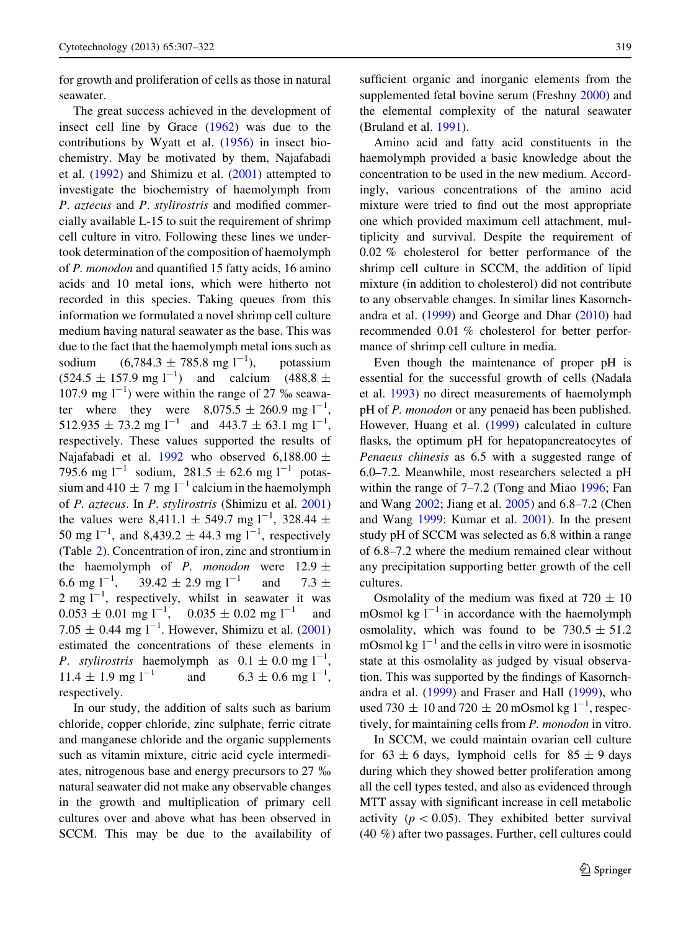for growth and proliferation of cells as those in natural seawater.

The great success achieved in the development of insect cell line by Grace ([1962\)](#page-14-0) was due to the contributions by Wyatt et al. ([1956\)](#page-15-0) in insect biochemistry. May be motivated by them, Najafabadi et al. [\(1992](#page-15-0)) and Shimizu et al. [\(2001](#page-15-0)) attempted to investigate the biochemistry of haemolymph from P. aztecus and P. stylirostris and modified commercially available L-15 to suit the requirement of shrimp cell culture in vitro. Following these lines we undertook determination of the composition of haemolymph of P. monodon and quantified 15 fatty acids, 16 amino acids and 10 metal ions, which were hitherto not recorded in this species. Taking queues from this information we formulated a novel shrimp cell culture medium having natural seawater as the base. This was due to the fact that the haemolymph metal ions such as sodium  $(6,784.3 \pm 785.8 \text{ mg l}^{-1}),$ ), potassium  $(524.5 \pm 157.9 \text{ mg l}^{-1})$  and calcium  $(488.8 \pm 157.9 \text{ mg l}^{-1})$ 107.9 mg  $1^{-1}$ ) were within the range of 27 ‰ seawater where they were  $8,075.5 \pm 260.9$  mg  $1^{-1}$ ,  $512.935 \pm 73.2$  mg  $l^{-1}$  and  $443.7 \pm 63.1$  mg  $l^{-1}$ , respectively. These values supported the results of Najafabadi et al. [1992](#page-15-0) who observed 6,188.00  $\pm$ 795.6 mg  $1^{-1}$  sodium, 281.5  $\pm$  62.6 mg  $1^{-1}$  potassium and 410  $\pm$  7 mg 1<sup>-1</sup> calcium in the haemolymph of P. aztecus. In P. stylirostris (Shimizu et al. [2001\)](#page-15-0) the values were 8,411.1  $\pm$  549.7 mg l<sup>-1</sup>, 328.44  $\pm$ 50 mg  $1^{-1}$ , and 8,439.2  $\pm$  44.3 mg  $1^{-1}$ , respectively (Table [2](#page-6-0)). Concentration of iron, zinc and strontium in the haemolymph of P. *monodon* were  $12.9 \pm$ 6.6 mg  $1^{-1}$ .  $39.42 \pm 2.9$  mg  $1^{-1}$  and  $7.3 \pm 1$  $2 \text{ mg } 1^{-1}$ , respectively, whilst in seawater it was  $0.053 \pm 0.01$  mg  $1^{-1}$ ,  $0.035 \pm 0.02$  mg  $1^{-1}$  and 7.05  $\pm$  0.44 mg 1<sup>-1</sup>. However, Shimizu et al. ([2001\)](#page-15-0) estimated the concentrations of these elements in *P. stylirostris* haemolymph as  $0.1 \pm 0.0$  mg  $1^{-1}$ ,  $11.4 \pm 1.9$  mg l<sup>-1</sup> and  $6.3 \pm 0.6$  mg  $1^{-1}$ , respectively.

In our study, the addition of salts such as barium chloride, copper chloride, zinc sulphate, ferric citrate and manganese chloride and the organic supplements such as vitamin mixture, citric acid cycle intermediates, nitrogenous base and energy precursors to 27 % natural seawater did not make any observable changes in the growth and multiplication of primary cell cultures over and above what has been observed in SCCM. This may be due to the availability of sufficient organic and inorganic elements from the supplemented fetal bovine serum (Freshny [2000\)](#page-14-0) and the elemental complexity of the natural seawater (Bruland et al. [1991\)](#page-13-0).

Amino acid and fatty acid constituents in the haemolymph provided a basic knowledge about the concentration to be used in the new medium. Accordingly, various concentrations of the amino acid mixture were tried to find out the most appropriate one which provided maximum cell attachment, multiplicity and survival. Despite the requirement of 0.02 % cholesterol for better performance of the shrimp cell culture in SCCM, the addition of lipid mixture (in addition to cholesterol) did not contribute to any observable changes. In similar lines Kasornchandra et al. ([1999\)](#page-14-0) and George and Dhar [\(2010](#page-14-0)) had recommended 0.01 % cholesterol for better performance of shrimp cell culture in media.

Even though the maintenance of proper pH is essential for the successful growth of cells (Nadala et al. [1993\)](#page-15-0) no direct measurements of haemolymph pH of P. monodon or any penaeid has been published. However, Huang et al. ([1999\)](#page-14-0) calculated in culture flasks, the optimum pH for hepatopancreatocytes of Penaeus chinesis as 6.5 with a suggested range of 6.0–7.2. Meanwhile, most researchers selected a pH within the range of 7–7.2 (Tong and Miao [1996;](#page-15-0) Fan and Wang [2002;](#page-14-0) Jiang et al. [2005](#page-14-0)) and 6.8–7.2 (Chen and Wang [1999:](#page-13-0) Kumar et al. [2001\)](#page-14-0). In the present study pH of SCCM was selected as 6.8 within a range of 6.8–7.2 where the medium remained clear without any precipitation supporting better growth of the cell cultures.

Osmolality of the medium was fixed at  $720 \pm 10$ mOsmol kg  $l^{-1}$  in accordance with the haemolymph osmolality, which was found to be  $730.5 \pm 51.2$ mOsmol kg  $1^{-1}$  and the cells in vitro were in isosmotic state at this osmolality as judged by visual observation. This was supported by the findings of Kasornchandra et al. [\(1999](#page-14-0)) and Fraser and Hall ([1999\)](#page-14-0), who used 730  $\pm$  10 and 720  $\pm$  20 mOsmol kg 1<sup>-1</sup>, respectively, for maintaining cells from P. monodon in vitro.

In SCCM, we could maintain ovarian cell culture for  $63 \pm 6$  days, lymphoid cells for  $85 \pm 9$  days during which they showed better proliferation among all the cell types tested, and also as evidenced through MTT assay with significant increase in cell metabolic activity ( $p < 0.05$ ). They exhibited better survival (40 %) after two passages. Further, cell cultures could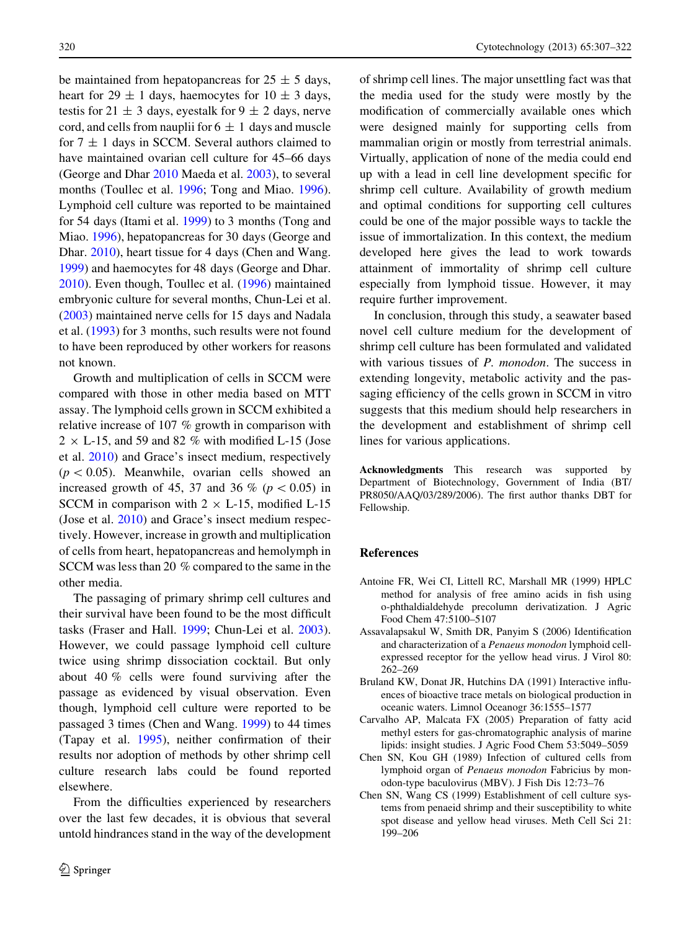<span id="page-13-0"></span>be maintained from hepatopancreas for  $25 \pm 5$  days, heart for 29  $\pm$  1 days, haemocytes for 10  $\pm$  3 days, testis for 21  $\pm$  3 days, eyestalk for 9  $\pm$  2 days, nerve cord, and cells from nauplii for  $6 \pm 1$  days and muscle for  $7 \pm 1$  days in SCCM. Several authors claimed to have maintained ovarian cell culture for 45–66 days (George and Dhar [2010](#page-14-0) Maeda et al. [2003](#page-14-0)), to several months (Toullec et al. [1996;](#page-15-0) Tong and Miao. [1996](#page-15-0)). Lymphoid cell culture was reported to be maintained for 54 days (Itami et al. [1999](#page-14-0)) to 3 months (Tong and Miao. [1996\)](#page-15-0), hepatopancreas for 30 days (George and Dhar. [2010\)](#page-14-0), heart tissue for 4 days (Chen and Wang. 1999) and haemocytes for 48 days (George and Dhar. [2010\)](#page-14-0). Even though, Toullec et al. [\(1996](#page-15-0)) maintained embryonic culture for several months, Chun-Lei et al. [\(2003](#page-14-0)) maintained nerve cells for 15 days and Nadala et al. ([1993\)](#page-15-0) for 3 months, such results were not found to have been reproduced by other workers for reasons not known.

Growth and multiplication of cells in SCCM were compared with those in other media based on MTT assay. The lymphoid cells grown in SCCM exhibited a relative increase of 107 % growth in comparison with  $2 \times L$ -15, and 59 and 82 % with modified L-15 (Jose et al. [2010](#page-14-0)) and Grace's insect medium, respectively  $(p < 0.05)$ . Meanwhile, ovarian cells showed an increased growth of 45, 37 and 36 % ( $p < 0.05$ ) in SCCM in comparison with  $2 \times L$ -15, modified L-15 (Jose et al. [2010](#page-14-0)) and Grace's insect medium respectively. However, increase in growth and multiplication of cells from heart, hepatopancreas and hemolymph in SCCM was less than 20 % compared to the same in the other media.

The passaging of primary shrimp cell cultures and their survival have been found to be the most difficult tasks (Fraser and Hall. [1999;](#page-14-0) Chun-Lei et al. [2003](#page-14-0)). However, we could passage lymphoid cell culture twice using shrimp dissociation cocktail. But only about 40 % cells were found surviving after the passage as evidenced by visual observation. Even though, lymphoid cell culture were reported to be passaged 3 times (Chen and Wang. 1999) to 44 times (Tapay et al. [1995\)](#page-15-0), neither confirmation of their results nor adoption of methods by other shrimp cell culture research labs could be found reported elsewhere.

From the difficulties experienced by researchers over the last few decades, it is obvious that several untold hindrances stand in the way of the development of shrimp cell lines. The major unsettling fact was that the media used for the study were mostly by the modification of commercially available ones which were designed mainly for supporting cells from mammalian origin or mostly from terrestrial animals. Virtually, application of none of the media could end up with a lead in cell line development specific for shrimp cell culture. Availability of growth medium and optimal conditions for supporting cell cultures could be one of the major possible ways to tackle the issue of immortalization. In this context, the medium developed here gives the lead to work towards attainment of immortality of shrimp cell culture especially from lymphoid tissue. However, it may require further improvement.

In conclusion, through this study, a seawater based novel cell culture medium for the development of shrimp cell culture has been formulated and validated with various tissues of *P. monodon*. The success in extending longevity, metabolic activity and the passaging efficiency of the cells grown in SCCM in vitro suggests that this medium should help researchers in the development and establishment of shrimp cell lines for various applications.

Acknowledgments This research was supported by Department of Biotechnology, Government of India (BT/ PR8050/AAQ/03/289/2006). The first author thanks DBT for Fellowship.

## References

- Antoine FR, Wei CI, Littell RC, Marshall MR (1999) HPLC method for analysis of free amino acids in fish using o-phthaldialdehyde precolumn derivatization. J Agric Food Chem 47:5100–5107
- Assavalapsakul W, Smith DR, Panyim S (2006) Identification and characterization of a Penaeus monodon lymphoid cellexpressed receptor for the yellow head virus. J Virol 80: 262–269
- Bruland KW, Donat JR, Hutchins DA (1991) Interactive influences of bioactive trace metals on biological production in oceanic waters. Limnol Oceanogr 36:1555–1577
- Carvalho AP, Malcata FX (2005) Preparation of fatty acid methyl esters for gas-chromatographic analysis of marine lipids: insight studies. J Agric Food Chem 53:5049–5059
- Chen SN, Kou GH (1989) Infection of cultured cells from lymphoid organ of Penaeus monodon Fabricius by monodon-type baculovirus (MBV). J Fish Dis 12:73–76
- Chen SN, Wang CS (1999) Establishment of cell culture systems from penaeid shrimp and their susceptibility to white spot disease and yellow head viruses. Meth Cell Sci 21: 199–206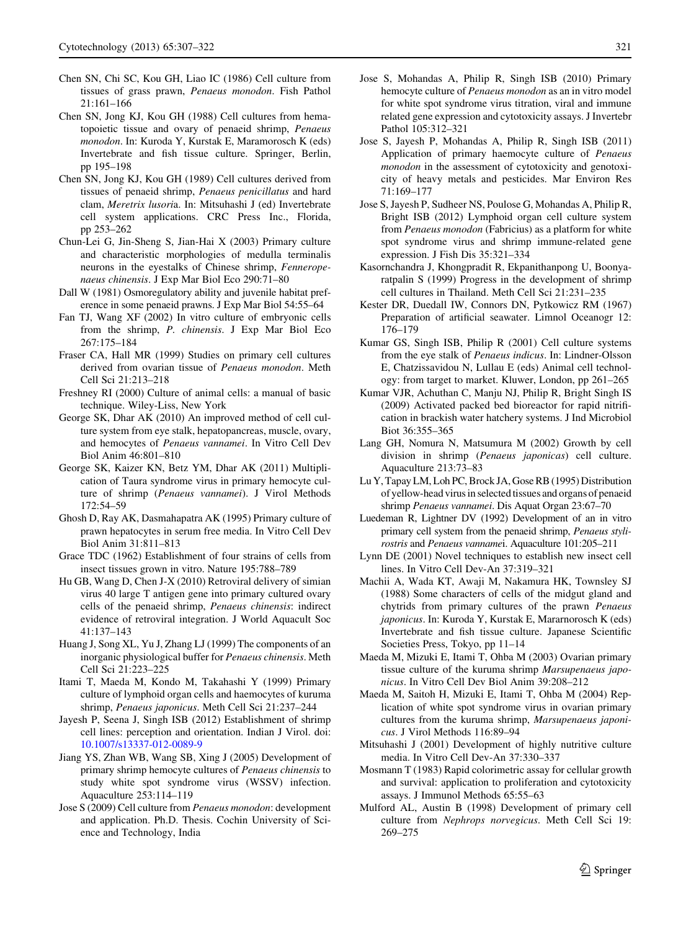- <span id="page-14-0"></span>Chen SN, Chi SC, Kou GH, Liao IC (1986) Cell culture from tissues of grass prawn, Penaeus monodon. Fish Pathol 21:161–166
- Chen SN, Jong KJ, Kou GH (1988) Cell cultures from hematopoietic tissue and ovary of penaeid shrimp, Penaeus monodon. In: Kuroda Y, Kurstak E, Maramorosch K (eds) Invertebrate and fish tissue culture. Springer, Berlin, pp 195–198
- Chen SN, Jong KJ, Kou GH (1989) Cell cultures derived from tissues of penaeid shrimp, Penaeus penicillatus and hard clam, Meretrix lusoria. In: Mitsuhashi J (ed) Invertebrate cell system applications. CRC Press Inc., Florida, pp 253–262
- Chun-Lei G, Jin-Sheng S, Jian-Hai X (2003) Primary culture and characteristic morphologies of medulla terminalis neurons in the eyestalks of Chinese shrimp, Fenneropenaeus chinensis. J Exp Mar Biol Eco 290:71–80
- Dall W (1981) Osmoregulatory ability and juvenile habitat preference in some penaeid prawns. J Exp Mar Biol 54:55–64
- Fan TJ, Wang XF (2002) In vitro culture of embryonic cells from the shrimp, P. chinensis. J Exp Mar Biol Eco 267:175–184
- Fraser CA, Hall MR (1999) Studies on primary cell cultures derived from ovarian tissue of Penaeus monodon. Meth Cell Sci 21:213–218
- Freshney RI (2000) Culture of animal cells: a manual of basic technique. Wiley-Liss, New York
- George SK, Dhar AK (2010) An improved method of cell culture system from eye stalk, hepatopancreas, muscle, ovary, and hemocytes of Penaeus vannamei. In Vitro Cell Dev Biol Anim 46:801–810
- George SK, Kaizer KN, Betz YM, Dhar AK (2011) Multiplication of Taura syndrome virus in primary hemocyte culture of shrimp (Penaeus vannamei). J Virol Methods 172:54–59
- Ghosh D, Ray AK, Dasmahapatra AK (1995) Primary culture of prawn hepatocytes in serum free media. In Vitro Cell Dev Biol Anim 31:811–813
- Grace TDC (1962) Establishment of four strains of cells from insect tissues grown in vitro. Nature 195:788–789
- Hu GB, Wang D, Chen J-X (2010) Retroviral delivery of simian virus 40 large T antigen gene into primary cultured ovary cells of the penaeid shrimp, Penaeus chinensis: indirect evidence of retroviral integration. J World Aquacult Soc 41:137–143
- Huang J, Song XL, Yu J, Zhang LJ (1999) The components of an inorganic physiological buffer for Penaeus chinensis. Meth Cell Sci 21:223–225
- Itami T, Maeda M, Kondo M, Takahashi Y (1999) Primary culture of lymphoid organ cells and haemocytes of kuruma shrimp, Penaeus japonicus. Meth Cell Sci 21:237–244
- Jayesh P, Seena J, Singh ISB (2012) Establishment of shrimp cell lines: perception and orientation. Indian J Virol. doi: [10.1007/s13337-012-0089-9](http://dx.doi.org/10.1007/s13337-012-0089-9)
- Jiang YS, Zhan WB, Wang SB, Xing J (2005) Development of primary shrimp hemocyte cultures of Penaeus chinensis to study white spot syndrome virus (WSSV) infection. Aquaculture 253:114–119
- Jose S (2009) Cell culture from Penaeus monodon: development and application. Ph.D. Thesis. Cochin University of Science and Technology, India
- 
- Jose S, Mohandas A, Philip R, Singh ISB (2010) Primary hemocyte culture of *Penaeus monodon* as an in vitro model for white spot syndrome virus titration, viral and immune related gene expression and cytotoxicity assays. J Invertebr Pathol 105:312–321
- Jose S, Jayesh P, Mohandas A, Philip R, Singh ISB (2011) Application of primary haemocyte culture of Penaeus monodon in the assessment of cytotoxicity and genotoxicity of heavy metals and pesticides. Mar Environ Res 71:169–177
- Jose S, Jayesh P, Sudheer NS, Poulose G, Mohandas A, Philip R, Bright ISB (2012) Lymphoid organ cell culture system from Penaeus monodon (Fabricius) as a platform for white spot syndrome virus and shrimp immune-related gene expression. J Fish Dis 35:321–334
- Kasornchandra J, Khongpradit R, Ekpanithanpong U, Boonyaratpalin S (1999) Progress in the development of shrimp cell cultures in Thailand. Meth Cell Sci 21:231–235
- Kester DR, Duedall IW, Connors DN, Pytkowicz RM (1967) Preparation of artificial seawater. Limnol Oceanogr 12: 176–179
- Kumar GS, Singh ISB, Philip R (2001) Cell culture systems from the eye stalk of Penaeus indicus. In: Lindner-Olsson E, Chatzissavidou N, Lullau E (eds) Animal cell technology: from target to market. Kluwer, London, pp 261–265
- Kumar VJR, Achuthan C, Manju NJ, Philip R, Bright Singh IS (2009) Activated packed bed bioreactor for rapid nitrification in brackish water hatchery systems. J Ind Microbiol Biot 36:355–365
- Lang GH, Nomura N, Matsumura M (2002) Growth by cell division in shrimp (Penaeus japonicas) cell culture. Aquaculture 213:73–83
- Lu Y, Tapay LM, Loh PC, Brock JA, Gose RB (1995) Distribution of yellow-head virus in selected tissues and organs of penaeid shrimp Penaeus vannamei. Dis Aquat Organ 23:67–70
- Luedeman R, Lightner DV (1992) Development of an in vitro primary cell system from the penaeid shrimp, Penaeus stylirostris and Penaeus vannamei. Aquaculture 101:205–211
- Lynn DE (2001) Novel techniques to establish new insect cell lines. In Vitro Cell Dev-An 37:319–321
- Machii A, Wada KT, Awaji M, Nakamura HK, Townsley SJ (1988) Some characters of cells of the midgut gland and chytrids from primary cultures of the prawn Penaeus japonicus. In: Kuroda Y, Kurstak E, Mararnorosch K (eds) Invertebrate and fish tissue culture. Japanese Scientific Societies Press, Tokyo, pp 11–14
- Maeda M, Mizuki E, Itami T, Ohba M (2003) Ovarian primary tissue culture of the kuruma shrimp Marsupenaeus japonicus. In Vitro Cell Dev Biol Anim 39:208–212
- Maeda M, Saitoh H, Mizuki E, Itami T, Ohba M (2004) Replication of white spot syndrome virus in ovarian primary cultures from the kuruma shrimp, Marsupenaeus japonicus. J Virol Methods 116:89–94
- Mitsuhashi J (2001) Development of highly nutritive culture media. In Vitro Cell Dev-An 37:330–337
- Mosmann T (1983) Rapid colorimetric assay for cellular growth and survival: application to proliferation and cytotoxicity assays. J Immunol Methods 65:55–63
- Mulford AL, Austin B (1998) Development of primary cell culture from Nephrops norvegicus. Meth Cell Sci 19: 269–275